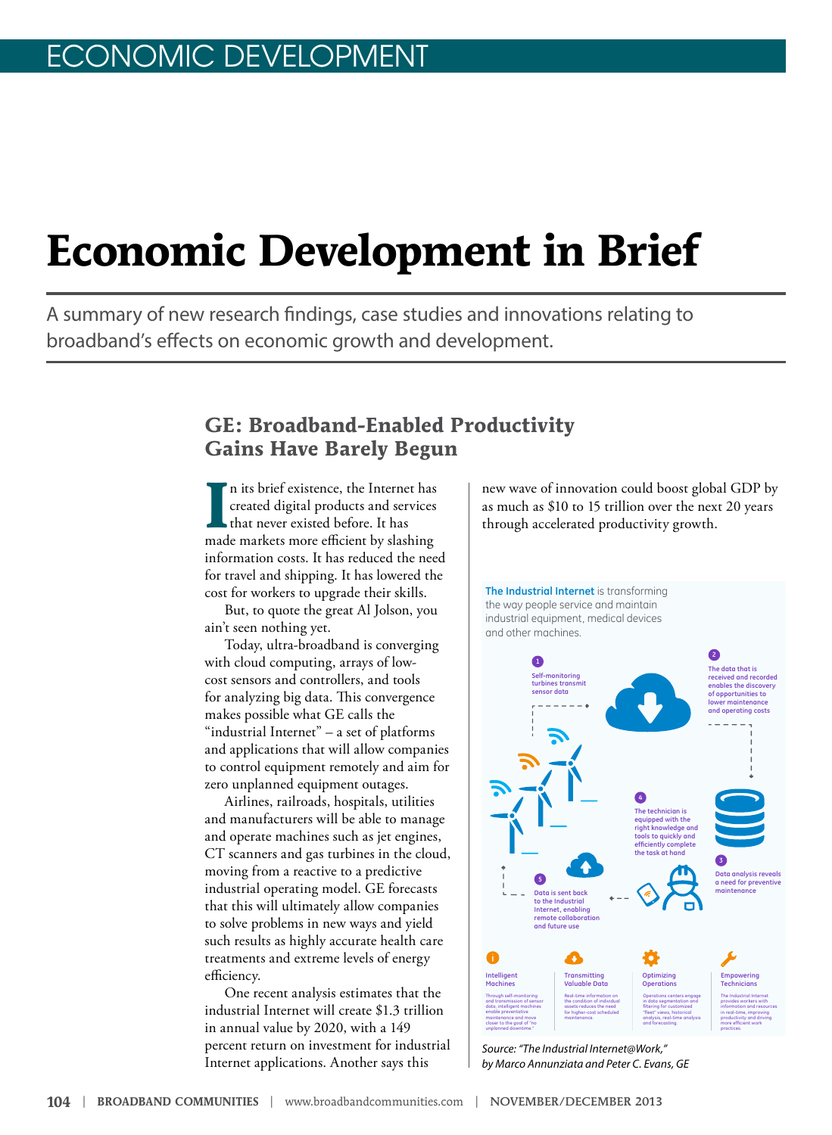# **Economic Development in Brief**

A summary of new research findings, case studies and innovations relating to broadband's effects on economic growth and development.

### **GE: Broadband-Enabled Productivity Gains Have Barely Begun**

In its brief existence, the Internet has<br>created digital products and services<br>that never existed before. It has<br>made markets more efficient by slashing n its brief existence, the Internet has created digital products and services that never existed before. It has information costs. It has reduced the need for travel and shipping. It has lowered the cost for workers to upgrade their skills.

But, to quote the great Al Jolson, you ain't seen nothing yet.

Today, ultra-broadband is converging with cloud computing, arrays of lowcost sensors and controllers, and tools for analyzing big data. This convergence makes possible what GE calls the "industrial Internet" – a set of platforms and applications that will allow companies to control equipment remotely and aim for zero unplanned equipment outages.

Airlines, railroads, hospitals, utilities and manufacturers will be able to manage and operate machines such as jet engines, CT scanners and gas turbines in the cloud, moving from a reactive to a predictive industrial operating model. GE forecasts that this will ultimately allow companies to solve problems in new ways and yield such results as highly accurate health care treatments and extreme levels of energy efficiency.

One recent analysis estimates that the industrial Internet will create \$1.3 trillion in annual value by 2020, with a 149 percent return on investment for industrial Internet applications. Another says this

new wave of innovation could boost global GDP by as much as \$10 to 15 trillion over the next 20 years through accelerated productivity growth.



5 *by Marco Annunziata and Peter C. Evans, GE*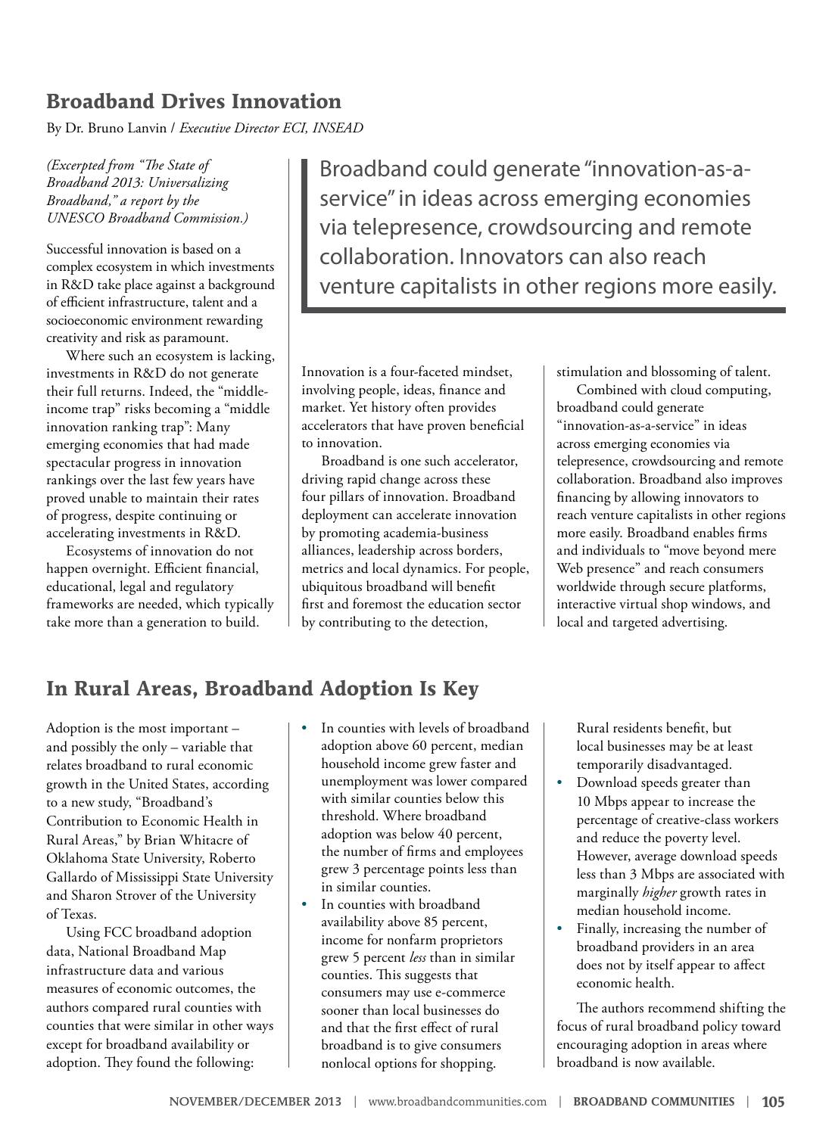### **Broadband Drives Innovation**

By Dr. Bruno Lanvin / *Executive Director ECI, INSEAD*

*(Excerpted from "The State of Broadband 2013: Universalizing Broadband," a report by the UNESCO Broadband Commission.)*

Successful innovation is based on a complex ecosystem in which investments in R&D take place against a background of efficient infrastructure, talent and a socioeconomic environment rewarding creativity and risk as paramount.

Where such an ecosystem is lacking, investments in R&D do not generate their full returns. Indeed, the "middleincome trap" risks becoming a "middle innovation ranking trap": Many emerging economies that had made spectacular progress in innovation rankings over the last few years have proved unable to maintain their rates of progress, despite continuing or accelerating investments in R&D.

Ecosystems of innovation do not happen overnight. Efficient financial, educational, legal and regulatory frameworks are needed, which typically take more than a generation to build.

Broadband could generate "innovation-as-aservice" in ideas across emerging economies via telepresence, crowdsourcing and remote collaboration. Innovators can also reach venture capitalists in other regions more easily.

Innovation is a four-faceted mindset, involving people, ideas, finance and market. Yet history often provides accelerators that have proven beneficial to innovation.

Broadband is one such accelerator, driving rapid change across these four pillars of innovation. Broadband deployment can accelerate innovation by promoting academia-business alliances, leadership across borders, metrics and local dynamics. For people, ubiquitous broadband will benefit first and foremost the education sector by contributing to the detection,

stimulation and blossoming of talent.

Combined with cloud computing, broadband could generate "innovation-as-a-service" in ideas across emerging economies via telepresence, crowdsourcing and remote collaboration. Broadband also improves financing by allowing innovators to reach venture capitalists in other regions more easily. Broadband enables firms and individuals to "move beyond mere Web presence" and reach consumers worldwide through secure platforms, interactive virtual shop windows, and local and targeted advertising.

### **In Rural Areas, Broadband Adoption Is Key**

Adoption is the most important – and possibly the only – variable that relates broadband to rural economic growth in the United States, according to a new study, "Broadband's Contribution to Economic Health in Rural Areas," by Brian Whitacre of Oklahoma State University, Roberto Gallardo of Mississippi State University and Sharon Strover of the University of Texas.

Using FCC broadband adoption data, National Broadband Map infrastructure data and various measures of economic outcomes, the authors compared rural counties with counties that were similar in other ways except for broadband availability or adoption. They found the following:

- In counties with levels of broadband adoption above 60 percent, median household income grew faster and unemployment was lower compared with similar counties below this threshold. Where broadband adoption was below 40 percent, the number of firms and employees grew 3 percentage points less than in similar counties.
- In counties with broadband availability above 85 percent, income for nonfarm proprietors grew 5 percent *less* than in similar counties. This suggests that consumers may use e-commerce sooner than local businesses do and that the first effect of rural broadband is to give consumers nonlocal options for shopping.

Rural residents benefit, but local businesses may be at least temporarily disadvantaged.

- Download speeds greater than 10 Mbps appear to increase the percentage of creative-class workers and reduce the poverty level. However, average download speeds less than 3 Mbps are associated with marginally *higher* growth rates in median household income.
- Finally, increasing the number of broadband providers in an area does not by itself appear to affect economic health.

The authors recommend shifting the focus of rural broadband policy toward encouraging adoption in areas where broadband is now available.